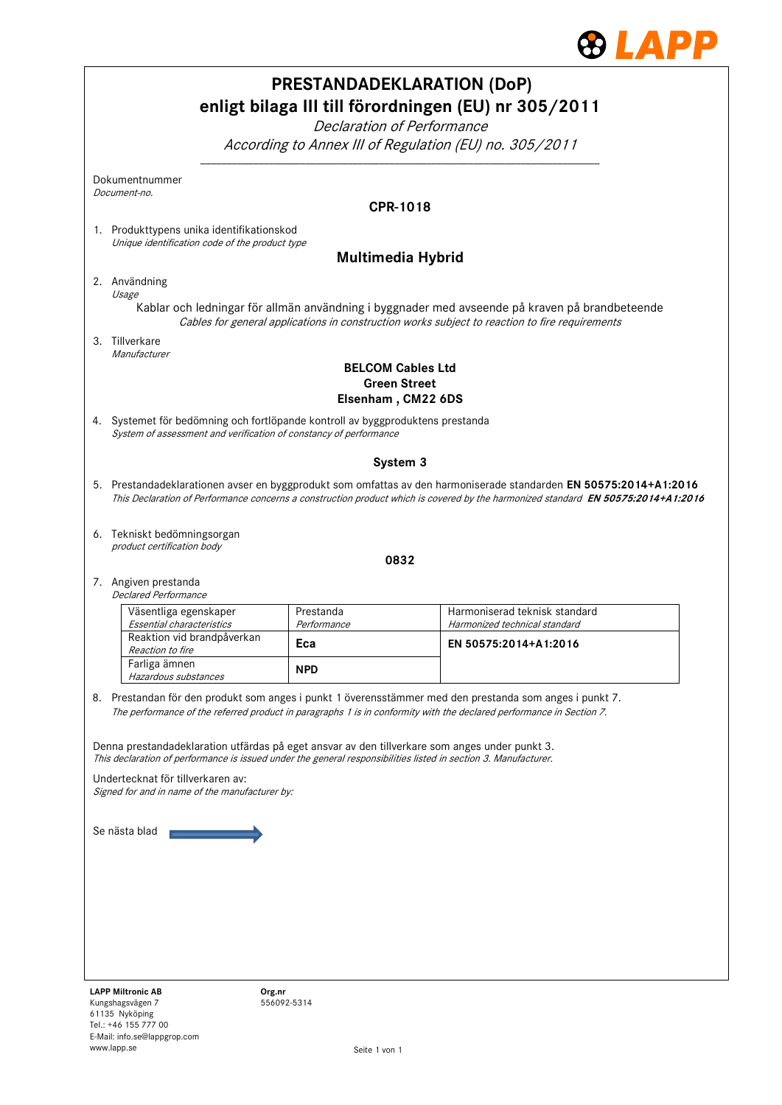

| <b>PRESTANDADEKLARATION (DoP)</b><br>enligt bilaga III till förordningen (EU) nr 305/2011<br>Declaration of Performance |                                                                                                                                                                                                                   |                          |                                                                                                                                   |  |  |  |  |  |  |
|-------------------------------------------------------------------------------------------------------------------------|-------------------------------------------------------------------------------------------------------------------------------------------------------------------------------------------------------------------|--------------------------|-----------------------------------------------------------------------------------------------------------------------------------|--|--|--|--|--|--|
|                                                                                                                         | According to Annex III of Regulation (EU) no. 305/2011                                                                                                                                                            |                          |                                                                                                                                   |  |  |  |  |  |  |
|                                                                                                                         | Dokumentnummer<br>Document-no.                                                                                                                                                                                    |                          |                                                                                                                                   |  |  |  |  |  |  |
|                                                                                                                         |                                                                                                                                                                                                                   |                          | CPR-1018                                                                                                                          |  |  |  |  |  |  |
|                                                                                                                         | 1. Produkttypens unika identifikationskod                                                                                                                                                                         |                          |                                                                                                                                   |  |  |  |  |  |  |
|                                                                                                                         | Unique identification code of the product type<br><b>Multimedia Hybrid</b>                                                                                                                                        |                          |                                                                                                                                   |  |  |  |  |  |  |
|                                                                                                                         |                                                                                                                                                                                                                   |                          |                                                                                                                                   |  |  |  |  |  |  |
|                                                                                                                         | 2. Användning<br>Usage                                                                                                                                                                                            |                          |                                                                                                                                   |  |  |  |  |  |  |
|                                                                                                                         | Kablar och ledningar för allmän användning i byggnader med avseende på kraven på brandbeteende<br>Cables for general applications in construction works subject to reaction to fire requirements                  |                          |                                                                                                                                   |  |  |  |  |  |  |
|                                                                                                                         | 3. Tillverkare                                                                                                                                                                                                    |                          |                                                                                                                                   |  |  |  |  |  |  |
|                                                                                                                         | Manufacturer                                                                                                                                                                                                      |                          | <b>BELCOM Cables Ltd</b>                                                                                                          |  |  |  |  |  |  |
|                                                                                                                         | <b>Green Street</b><br>Elsenham, CM22 6DS                                                                                                                                                                         |                          |                                                                                                                                   |  |  |  |  |  |  |
|                                                                                                                         | 4. Systemet för bedömning och fortlöpande kontroll av byggproduktens prestanda<br>System of assessment and verification of constancy of performance                                                               |                          |                                                                                                                                   |  |  |  |  |  |  |
|                                                                                                                         |                                                                                                                                                                                                                   |                          | System 3                                                                                                                          |  |  |  |  |  |  |
|                                                                                                                         |                                                                                                                                                                                                                   |                          | 5. Prestandadeklarationen avser en byggprodukt som omfattas av den harmoniserade standarden EN 50575:2014+A1:2016                 |  |  |  |  |  |  |
|                                                                                                                         |                                                                                                                                                                                                                   |                          | This Declaration of Performance concerns a construction product which is covered by the harmonized standard EN 50575:2014+A1:2016 |  |  |  |  |  |  |
|                                                                                                                         |                                                                                                                                                                                                                   |                          |                                                                                                                                   |  |  |  |  |  |  |
|                                                                                                                         | 6. Tekniskt bedömningsorgan                                                                                                                                                                                       |                          |                                                                                                                                   |  |  |  |  |  |  |
|                                                                                                                         | product certification body                                                                                                                                                                                        |                          | 0832                                                                                                                              |  |  |  |  |  |  |
|                                                                                                                         | 7. Angiven prestanda                                                                                                                                                                                              |                          |                                                                                                                                   |  |  |  |  |  |  |
|                                                                                                                         | <b>Declared Performance</b>                                                                                                                                                                                       |                          |                                                                                                                                   |  |  |  |  |  |  |
|                                                                                                                         | Väsentliga egenskaper<br>Essential characteristics                                                                                                                                                                | Prestanda<br>Performance | Harmoniserad teknisk standard<br>Harmonized technical standard                                                                    |  |  |  |  |  |  |
|                                                                                                                         | Reaktion vid brandpåverkan                                                                                                                                                                                        | Eca                      | EN 50575:2014+A1:2016                                                                                                             |  |  |  |  |  |  |
|                                                                                                                         | Reaction to fire<br>Farliga ämnen                                                                                                                                                                                 |                          |                                                                                                                                   |  |  |  |  |  |  |
|                                                                                                                         | Hazardous substances                                                                                                                                                                                              | <b>NPD</b>               |                                                                                                                                   |  |  |  |  |  |  |
|                                                                                                                         |                                                                                                                                                                                                                   |                          | 8. Prestandan för den produkt som anges i punkt 1 överensstämmer med den prestanda som anges i punkt 7.                           |  |  |  |  |  |  |
|                                                                                                                         |                                                                                                                                                                                                                   |                          | The performance of the referred product in paragraphs 1 is in conformity with the declared performance in Section 7.              |  |  |  |  |  |  |
|                                                                                                                         |                                                                                                                                                                                                                   |                          |                                                                                                                                   |  |  |  |  |  |  |
|                                                                                                                         | Denna prestandadeklaration utfärdas på eget ansvar av den tillverkare som anges under punkt 3.<br>This declaration of performance is issued under the general responsibilities listed in section 3. Manufacturer. |                          |                                                                                                                                   |  |  |  |  |  |  |
|                                                                                                                         | Undertecknat för tillverkaren av:                                                                                                                                                                                 |                          |                                                                                                                                   |  |  |  |  |  |  |
| Signed for and in name of the manufacturer by:                                                                          |                                                                                                                                                                                                                   |                          |                                                                                                                                   |  |  |  |  |  |  |
|                                                                                                                         |                                                                                                                                                                                                                   |                          |                                                                                                                                   |  |  |  |  |  |  |
| Se nästa blad                                                                                                           |                                                                                                                                                                                                                   |                          |                                                                                                                                   |  |  |  |  |  |  |
|                                                                                                                         |                                                                                                                                                                                                                   |                          |                                                                                                                                   |  |  |  |  |  |  |
|                                                                                                                         |                                                                                                                                                                                                                   |                          |                                                                                                                                   |  |  |  |  |  |  |
|                                                                                                                         |                                                                                                                                                                                                                   |                          |                                                                                                                                   |  |  |  |  |  |  |
|                                                                                                                         |                                                                                                                                                                                                                   |                          |                                                                                                                                   |  |  |  |  |  |  |
|                                                                                                                         |                                                                                                                                                                                                                   |                          |                                                                                                                                   |  |  |  |  |  |  |
|                                                                                                                         |                                                                                                                                                                                                                   |                          |                                                                                                                                   |  |  |  |  |  |  |
|                                                                                                                         |                                                                                                                                                                                                                   |                          |                                                                                                                                   |  |  |  |  |  |  |
|                                                                                                                         | <b>LAPP Miltronic AB</b><br>Org.nr<br>Kungshagsvägen 7                                                                                                                                                            | 556092-5314              |                                                                                                                                   |  |  |  |  |  |  |